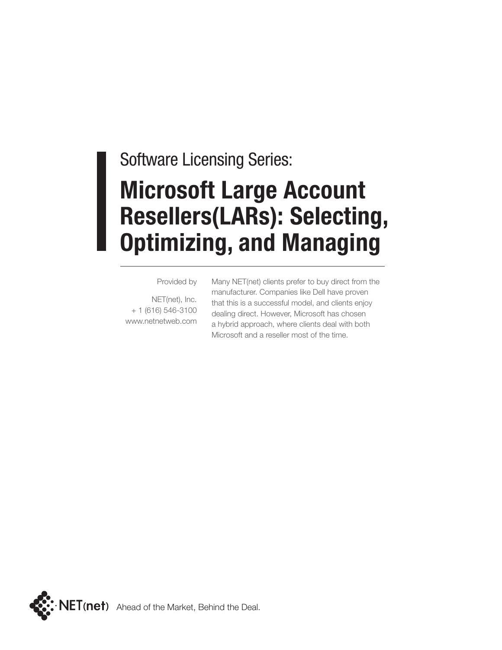### Software Licensing Series: **Microsoft Large Account Resellers(LARs): Selecting, Optimizing, and Managing**

#### Provided by

NET(net), Inc. + 1 (616) 546-3100 www.netnetweb.com Many NET(net) clients prefer to buy direct from the manufacturer. Companies like Dell have proven that this is a successful model, and clients enjoy dealing direct. However, Microsoft has chosen a hybrid approach, where clients deal with both Microsoft and a reseller most of the time.

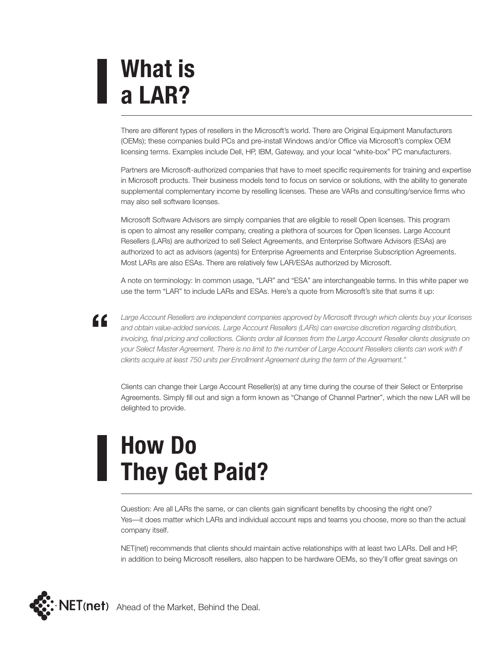# **What is a LAR?**

"

There are different types of resellers in the Microsoft's world. There are Original Equipment Manufacturers (OEMs); these companies build PCs and pre-install Windows and/or Office via Microsoft's complex OEM licensing terms. Examples include Dell, HP, IBM, Gateway, and your local "white-box" PC manufacturers.

Partners are Microsoft-authorized companies that have to meet specific requirements for training and expertise in Microsoft products. Their business models tend to focus on service or solutions, with the ability to generate supplemental complementary income by reselling licenses. These are VARs and consulting/service firms who may also sell software licenses.

Microsoft Software Advisors are simply companies that are eligible to resell Open licenses. This program is open to almost any reseller company, creating a plethora of sources for Open licenses. Large Account Resellers (LARs) are authorized to sell Select Agreements, and Enterprise Software Advisors (ESAs) are authorized to act as advisors (agents) for Enterprise Agreements and Enterprise Subscription Agreements. Most LARs are also ESAs. There are relatively few LAR/ESAs authorized by Microsoft.

A note on terminology: In common usage, "LAR" and "ESA" are interchangeable terms. In this white paper we use the term "LAR" to include LARs and ESAs. Here's a quote from Microsoft's site that sums it up:

*Large Account Resellers are independent companies approved by Microsoft through which clients buy your licenses and obtain value-added services. Large Account Resellers (LARs) can exercise discretion regarding distribution, invoicing, final pricing and collections. Clients order all licenses from the Large Account Reseller clients designate on*  your Select Master Agreement. There is no limit to the number of Large Account Resellers clients can work with if *clients acquire at least 750 units per Enrollment Agreement during the term of the Agreement."*

Clients can change their Large Account Reseller(s) at any time during the course of their Select or Enterprise Agreements. Simply fill out and sign a form known as "Change of Channel Partner", which the new LAR will be delighted to provide.

# **How Do They Get Paid?**

Question: Are all LARs the same, or can clients gain significant benefits by choosing the right one? Yes—it does matter which LARs and individual account reps and teams you choose, more so than the actual company itself.

NET(net) recommends that clients should maintain active relationships with at least two LARs. Dell and HP, in addition to being Microsoft resellers, also happen to be hardware OEMs, so they'll offer great savings on

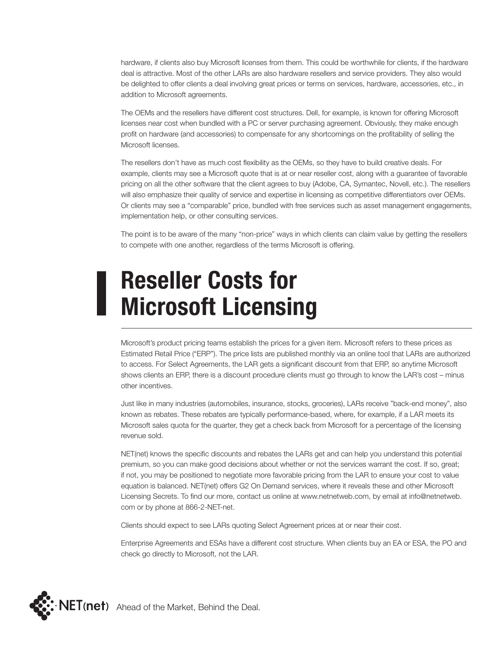hardware, if clients also buy Microsoft licenses from them. This could be worthwhile for clients, if the hardware deal is attractive. Most of the other LARs are also hardware resellers and service providers. They also would be delighted to offer clients a deal involving great prices or terms on services, hardware, accessories, etc., in addition to Microsoft agreements.

The OEMs and the resellers have different cost structures. Dell, for example, is known for offering Microsoft licenses near cost when bundled with a PC or server purchasing agreement. Obviously, they make enough profit on hardware (and accessories) to compensate for any shortcomings on the profitability of selling the Microsoft licenses.

The resellers don't have as much cost flexibility as the OEMs, so they have to build creative deals. For example, clients may see a Microsoft quote that is at or near reseller cost, along with a guarantee of favorable pricing on all the other software that the client agrees to buy (Adobe, CA, Symantec, Novell, etc.). The resellers will also emphasize their quality of service and expertise in licensing as competitive differentiators over OEMs. Or clients may see a "comparable" price, bundled with free services such as asset management engagements, implementation help, or other consulting services.

The point is to be aware of the many "non-price" ways in which clients can claim value by getting the resellers to compete with one another, regardless of the terms Microsoft is offering.

#### **Reseller Costs for Microsoft Licensing**

Microsoft's product pricing teams establish the prices for a given item. Microsoft refers to these prices as Estimated Retail Price ("ERP"). The price lists are published monthly via an online tool that LARs are authorized to access. For Select Agreements, the LAR gets a significant discount from that ERP, so anytime Microsoft shows clients an ERP, there is a discount procedure clients must go through to know the LAR's cost – minus other incentives.

Just like in many industries (automobiles, insurance, stocks, groceries), LARs receive "back-end money", also known as rebates. These rebates are typically performance-based, where, for example, if a LAR meets its Microsoft sales quota for the quarter, they get a check back from Microsoft for a percentage of the licensing revenue sold.

NET(net) knows the specific discounts and rebates the LARs get and can help you understand this potential premium, so you can make good decisions about whether or not the services warrant the cost. If so, great; if not, you may be positioned to negotiate more favorable pricing from the LAR to ensure your cost to value equation is balanced. NET(net) offers G2 On Demand services, where it reveals these and other Microsoft Licensing Secrets. To find our more, contact us online at www.netnetweb.com, by email at info@netnetweb. com or by phone at 866-2-NET-net.

Clients should expect to see LARs quoting Select Agreement prices at or near their cost.

Enterprise Agreements and ESAs have a different cost structure. When clients buy an EA or ESA, the PO and check go directly to Microsoft, not the LAR.

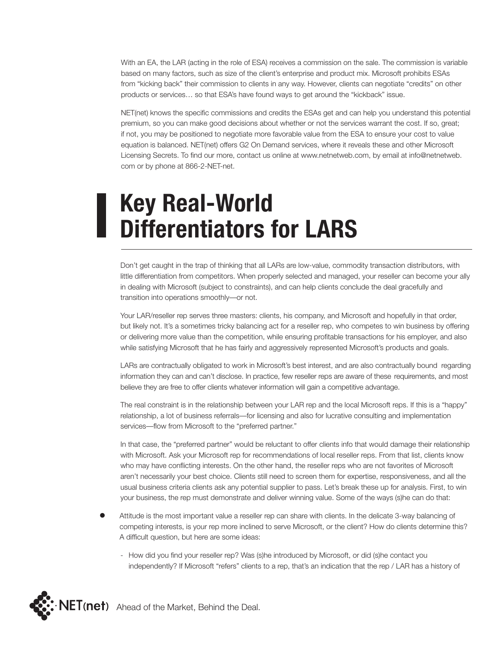With an EA, the LAR (acting in the role of ESA) receives a commission on the sale. The commission is variable based on many factors, such as size of the client's enterprise and product mix. Microsoft prohibits ESAs from "kicking back" their commission to clients in any way. However, clients can negotiate "credits" on other products or services… so that ESA's have found ways to get around the "kickback" issue.

NET(net) knows the specific commissions and credits the ESAs get and can help you understand this potential premium, so you can make good decisions about whether or not the services warrant the cost. If so, great; if not, you may be positioned to negotiate more favorable value from the ESA to ensure your cost to value equation is balanced. NET(net) offers G2 On Demand services, where it reveals these and other Microsoft Licensing Secrets. To find our more, contact us online at www.netnetweb.com, by email at info@netnetweb. com or by phone at 866-2-NET-net.

### **Key Real-World Differentiators for LARS**

Don't get caught in the trap of thinking that all LARs are low-value, commodity transaction distributors, with little differentiation from competitors. When properly selected and managed, your reseller can become your ally in dealing with Microsoft (subject to constraints), and can help clients conclude the deal gracefully and transition into operations smoothly—or not.

Your LAR/reseller rep serves three masters: clients, his company, and Microsoft and hopefully in that order, but likely not. It's a sometimes tricky balancing act for a reseller rep, who competes to win business by offering or delivering more value than the competition, while ensuring profitable transactions for his employer, and also while satisfying Microsoft that he has fairly and aggressively represented Microsoft's products and goals.

LARs are contractually obligated to work in Microsoft's best interest, and are also contractually bound regarding information they can and can't disclose. In practice, few reseller reps are aware of these requirements, and most believe they are free to offer clients whatever information will gain a competitive advantage.

The real constraint is in the relationship between your LAR rep and the local Microsoft reps. If this is a "happy" relationship, a lot of business referrals—for licensing and also for lucrative consulting and implementation services—flow from Microsoft to the "preferred partner."

In that case, the "preferred partner" would be reluctant to offer clients info that would damage their relationship with Microsoft. Ask your Microsoft rep for recommendations of local reseller reps. From that list, clients know who may have conflicting interests. On the other hand, the reseller reps who are not favorites of Microsoft aren't necessarily your best choice. Clients still need to screen them for expertise, responsiveness, and all the usual business criteria clients ask any potential supplier to pass. Let's break these up for analysis. First, to win your business, the rep must demonstrate and deliver winning value. Some of the ways (s)he can do that:

- Attitude is the most important value a reseller rep can share with clients. In the delicate 3-way balancing of competing interests, is your rep more inclined to serve Microsoft, or the client? How do clients determine this? A difficult question, but here are some ideas:
	- How did you find your reseller rep? Was (s)he introduced by Microsoft, or did (s)he contact you independently? If Microsoft "refers" clients to a rep, that's an indication that the rep / LAR has a history of

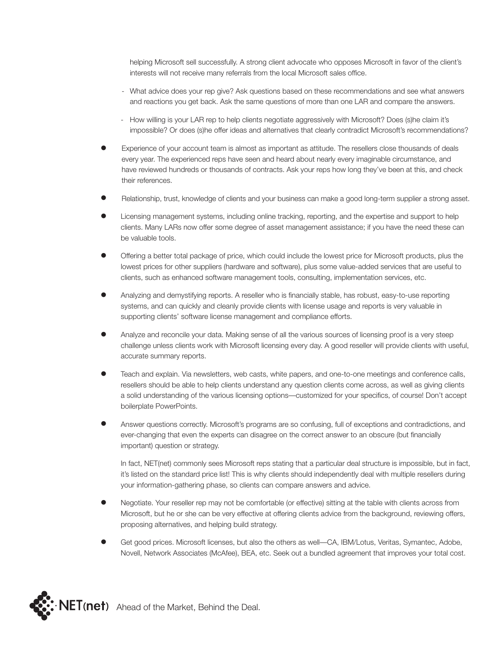helping Microsoft sell successfully. A strong client advocate who opposes Microsoft in favor of the client's interests will not receive many referrals from the local Microsoft sales office.

- What advice does your rep give? Ask questions based on these recommendations and see what answers and reactions you get back. Ask the same questions of more than one LAR and compare the answers.
- How willing is your LAR rep to help clients negotiate aggressively with Microsoft? Does (s)he claim it's impossible? Or does (s)he offer ideas and alternatives that clearly contradict Microsoft's recommendations?
- Experience of your account team is almost as important as attitude. The resellers close thousands of deals every year. The experienced reps have seen and heard about nearly every imaginable circumstance, and have reviewed hundreds or thousands of contracts. Ask your reps how long they've been at this, and check their references.
- Relationship, trust, knowledge of clients and your business can make a good long-term supplier a strong asset.
- Licensing management systems, including online tracking, reporting, and the expertise and support to help clients. Many LARs now offer some degree of asset management assistance; if you have the need these can be valuable tools.
- Offering a better total package of price, which could include the lowest price for Microsoft products, plus the lowest prices for other suppliers (hardware and software), plus some value-added services that are useful to clients, such as enhanced software management tools, consulting, implementation services, etc.
- Analyzing and demystifying reports. A reseller who is financially stable, has robust, easy-to-use reporting systems, and can quickly and cleanly provide clients with license usage and reports is very valuable in supporting clients' software license management and compliance efforts.
- Analyze and reconcile your data. Making sense of all the various sources of licensing proof is a very steep challenge unless clients work with Microsoft licensing every day. A good reseller will provide clients with useful, accurate summary reports.
- Teach and explain. Via newsletters, web casts, white papers, and one-to-one meetings and conference calls, resellers should be able to help clients understand any question clients come across, as well as giving clients a solid understanding of the various licensing options—customized for your specifics, of course! Don't accept boilerplate PowerPoints.
- Answer questions correctly. Microsoft's programs are so confusing, full of exceptions and contradictions, and ever-changing that even the experts can disagree on the correct answer to an obscure (but financially important) question or strategy.

In fact, NET(net) commonly sees Microsoft reps stating that a particular deal structure is impossible, but in fact, it's listed on the standard price list! This is why clients should independently deal with multiple resellers during your information-gathering phase, so clients can compare answers and advice.

- Negotiate. Your reseller rep may not be comfortable (or effective) sitting at the table with clients across from Microsoft, but he or she can be very effective at offering clients advice from the background, reviewing offers, proposing alternatives, and helping build strategy.
- Get good prices. Microsoft licenses, but also the others as well—CA, IBM/Lotus, Veritas, Symantec, Adobe, Novell, Network Associates (McAfee), BEA, etc. Seek out a bundled agreement that improves your total cost.

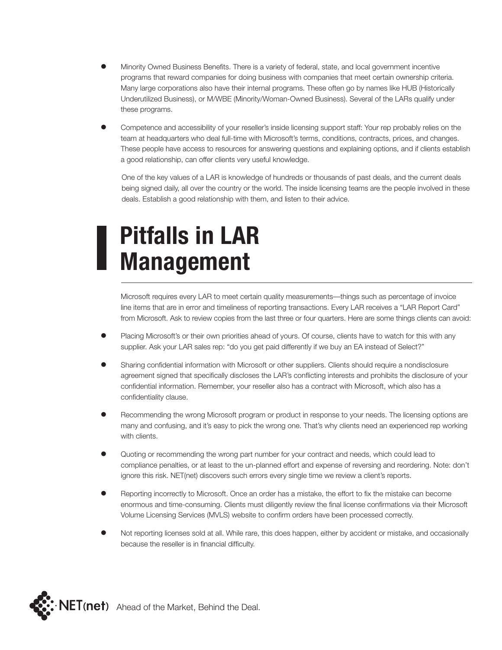- Minority Owned Business Benefits. There is a variety of federal, state, and local government incentive programs that reward companies for doing business with companies that meet certain ownership criteria. Many large corporations also have their internal programs. These often go by names like HUB (Historically Underutilized Business), or M/WBE (Minority/Woman-Owned Business). Several of the LARs qualify under these programs.
- Competence and accessibility of your reseller's inside licensing support staff: Your rep probably relies on the team at headquarters who deal full-time with Microsoft's terms, conditions, contracts, prices, and changes. These people have access to resources for answering questions and explaining options, and if clients establish a good relationship, can offer clients very useful knowledge.

 One of the key values of a LAR is knowledge of hundreds or thousands of past deals, and the current deals being signed daily, all over the country or the world. The inside licensing teams are the people involved in these deals. Establish a good relationship with them, and listen to their advice.

# **Pitfalls in LAR Management**

Microsoft requires every LAR to meet certain quality measurements—things such as percentage of invoice line items that are in error and timeliness of reporting transactions. Every LAR receives a "LAR Report Card" from Microsoft. Ask to review copies from the last three or four quarters. Here are some things clients can avoid:

- Placing Microsoft's or their own priorities ahead of yours. Of course, clients have to watch for this with any supplier. Ask your LAR sales rep: "do you get paid differently if we buy an EA instead of Select?"
- Sharing confidential information with Microsoft or other suppliers. Clients should require a nondisclosure agreement signed that specifically discloses the LAR's conflicting interests and prohibits the disclosure of your confidential information. Remember, your reseller also has a contract with Microsoft, which also has a confidentiality clause.
- Recommending the wrong Microsoft program or product in response to your needs. The licensing options are many and confusing, and it's easy to pick the wrong one. That's why clients need an experienced rep working with clients.
- Quoting or recommending the wrong part number for your contract and needs, which could lead to compliance penalties, or at least to the un-planned effort and expense of reversing and reordering. Note: don't ignore this risk. NET(net) discovers such errors every single time we review a client's reports.
- Reporting incorrectly to Microsoft. Once an order has a mistake, the effort to fix the mistake can become enormous and time-consuming. Clients must diligently review the final license confirmations via their Microsoft Volume Licensing Services (MVLS) website to confirm orders have been processed correctly.
- Not reporting licenses sold at all. While rare, this does happen, either by accident or mistake, and occasionally because the reseller is in financial difficulty.